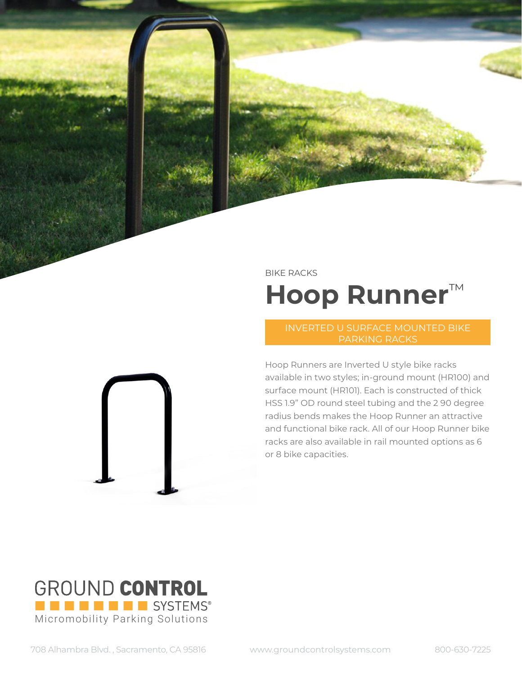

## BIKE RACKS **Hoop Runner**™

## PARKING RACKS

Hoop Runners are Inverted U style bike racks available in two styles; in-ground mount (HR100) and surface mount (HR101). Each is constructed of thick HSS 1.9" OD round steel tubing and the 2 90 degree radius bends makes the Hoop Runner an attractive and functional bike rack. All of our Hoop Runner bike racks are also available in rail mounted options as 6 or 8 bike capacities.